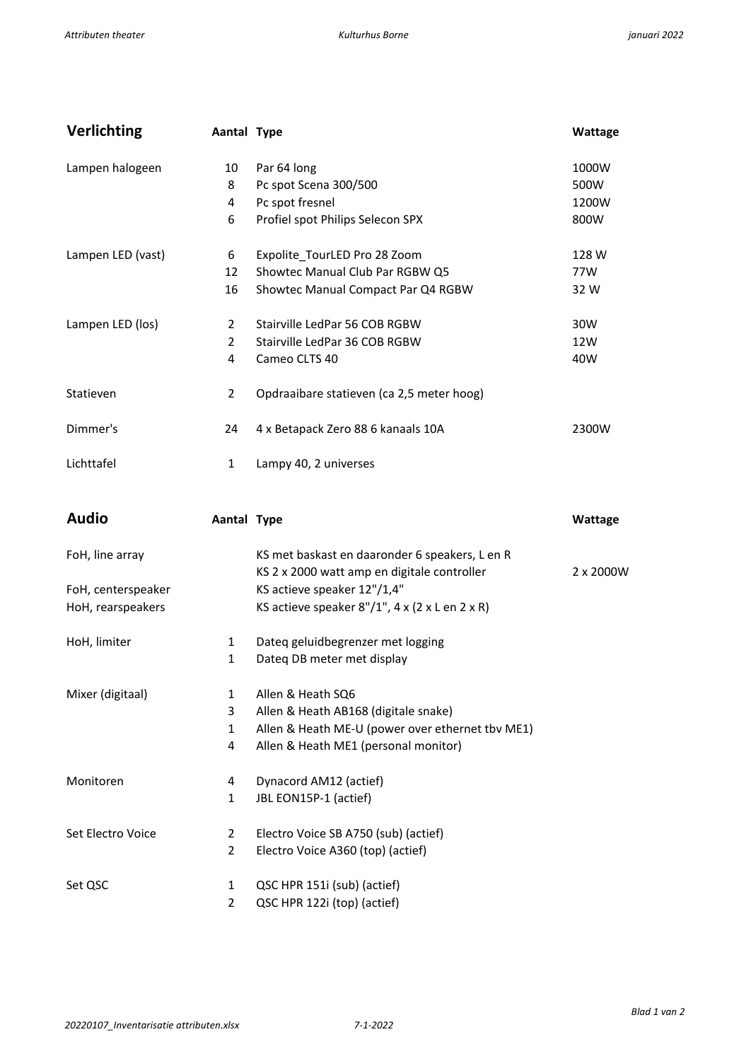| <b>Verlichting</b> | Aantal Type    |                                                     | Wattage   |
|--------------------|----------------|-----------------------------------------------------|-----------|
| Lampen halogeen    | 10             | Par 64 long                                         | 1000W     |
|                    | 8              | Pc spot Scena 300/500                               | 500W      |
|                    | 4              | Pc spot fresnel                                     | 1200W     |
|                    | 6              | Profiel spot Philips Selecon SPX                    | 800W      |
| Lampen LED (vast)  | 6              | Expolite_TourLED Pro 28 Zoom                        | 128 W     |
|                    | 12             | Showtec Manual Club Par RGBW Q5                     | 77W       |
|                    | 16             | Showtec Manual Compact Par Q4 RGBW                  | 32 W      |
| Lampen LED (los)   | 2              | Stairville LedPar 56 COB RGBW                       | 30W       |
|                    | $\overline{2}$ | Stairville LedPar 36 COB RGBW                       | 12W       |
|                    | 4              | Cameo CLTS 40                                       | 40W       |
| Statieven          | $\overline{2}$ | Opdraaibare statieven (ca 2,5 meter hoog)           |           |
| Dimmer's           | 24             | 4 x Betapack Zero 88 6 kanaals 10A                  | 2300W     |
| Lichttafel         | $\mathbf{1}$   | Lampy 40, 2 universes                               |           |
| <b>Audio</b>       | Aantal Type    |                                                     | Wattage   |
| FoH, line array    |                | KS met baskast en daaronder 6 speakers, L en R      |           |
|                    |                | KS 2 x 2000 watt amp en digitale controller         | 2 x 2000W |
| FoH, centerspeaker |                | KS actieve speaker 12"/1,4"                         |           |
| HoH, rearspeakers  |                | KS actieve speaker $8''/1''$ , 4 x (2 x L en 2 x R) |           |
| HoH, limiter       | $\mathbf{1}$   | Dateq geluidbegrenzer met logging                   |           |
|                    | 1              | Dateq DB meter met display                          |           |
| Mixer (digitaal)   | 1              | Allen & Heath SQ6                                   |           |
|                    | 3              | Allen & Heath AB168 (digitale snake)                |           |
|                    | $\mathbf{1}$   | Allen & Heath ME-U (power over ethernet tbv ME1)    |           |
|                    | 4              | Allen & Heath ME1 (personal monitor)                |           |
| Monitoren          | 4              | Dynacord AM12 (actief)                              |           |
|                    | 1              | JBL EON15P-1 (actief)                               |           |
| Set Electro Voice  | $\overline{2}$ | Electro Voice SB A750 (sub) (actief)                |           |
|                    | $\overline{2}$ | Electro Voice A360 (top) (actief)                   |           |
| Set QSC            | 1              | QSC HPR 151i (sub) (actief)                         |           |

2 QSC HPR 122i (top) (actief)